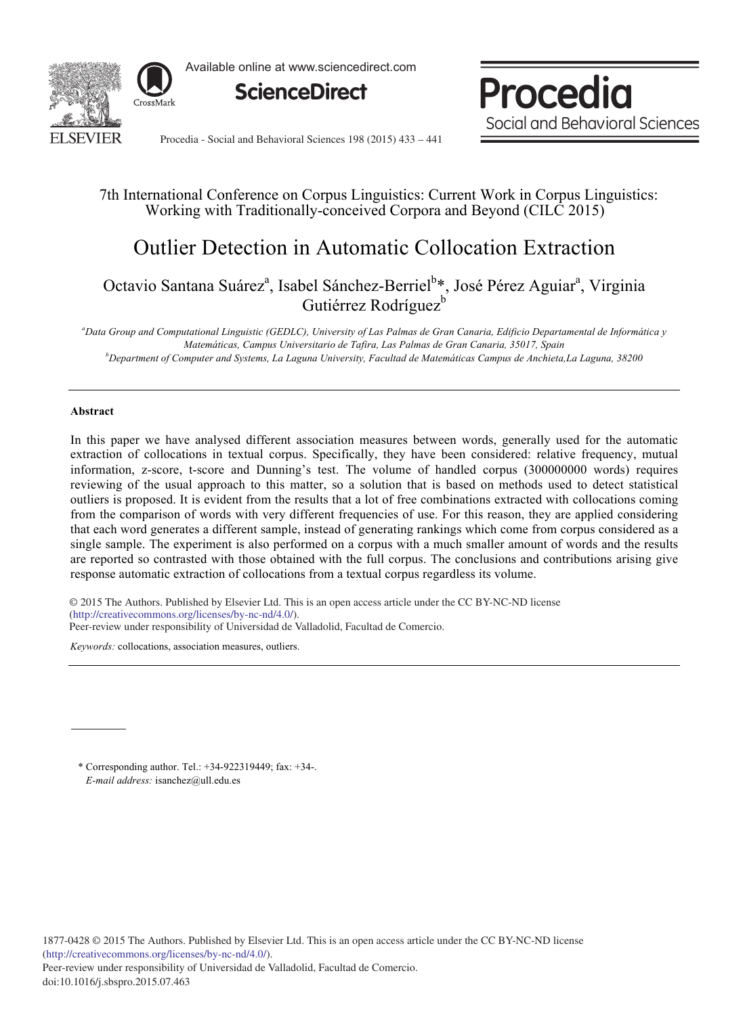

Available online at www.sciencedirect.com



**Procedia** Social and Behavioral Sciences

Procedia - Social and Behavioral Sciences 198 (2015) 433 - 441

# 7th International Conference on Corpus Linguistics: Current Work in Corpus Linguistics: Working with Traditionally-conceived Corpora and Beyond (CILC 2015)

# Outlier Detection in Automatic Collocation Extraction

Octavio Santana Suárez<sup>a</sup>, Isabel Sánchez-Berriel<sup>b\*</sup>, José Pérez Aguiar<sup>a</sup>, Virginia Gutiérrez Rodríguez<sup>b</sup>

*a Data Group and Computational Linguistic (GEDLC), University of Las Palmas de Gran Canaria, Edificio Departamental de Informática y Matemáticas, Campus Universitario de Tafira, Las Palmas de Gran Canaria, 35017, Spain b Department of Computer and Systems, La Laguna University, Facultad de Matemáticas Campus de Anchieta,La Laguna, 38200* 

# **Abstract**

In this paper we have analysed different association measures between words, generally used for the automatic extraction of collocations in textual corpus. Specifically, they have been considered: relative frequency, mutual information, z-score, t-score and Dunning's test. The volume of handled corpus (300000000 words) requires reviewing of the usual approach to this matter, so a solution that is based on methods used to detect statistical outliers is proposed. It is evident from the results that a lot of free combinations extracted with collocations coming from the comparison of words with very different frequencies of use. For this reason, they are applied considering that each word generates a different sample, instead of generating rankings which come from corpus considered as a single sample. The experiment is also performed on a corpus with a much smaller amount of words and the results are reported so contrasted with those obtained with the full corpus. The conclusions and contributions arising give response automatic extraction of collocations from a textual corpus regardless its volume.

© 2015 The Authors. Published by Elsevier Ltd. © 2015 The Authors. Published by Elsevier Ltd. This is an open access article under the CC BY-NC-ND license Peer-review under responsibility of Universidad de Valladolid, Facultad de Comercio. Peer-review under responsibility of Universidad de Valladolid, Facultad de Comercio.(http://creativecommons.org/licenses/by-nc-nd/4.0/).

*Keywords:* collocations, association measures, outliers.

\* Corresponding author. Tel.: +34-922319449; fax: +34-. *E-mail address:* isanchez@ull.edu.es

1877-0428 © 2015 The Authors. Published by Elsevier Ltd. This is an open access article under the CC BY-NC-ND license (http://creativecommons.org/licenses/by-nc-nd/4.0/). Peer-review under responsibility of Universidad de Valladolid, Facultad de Comercio. doi: 10.1016/j.sbspro.2015.07.463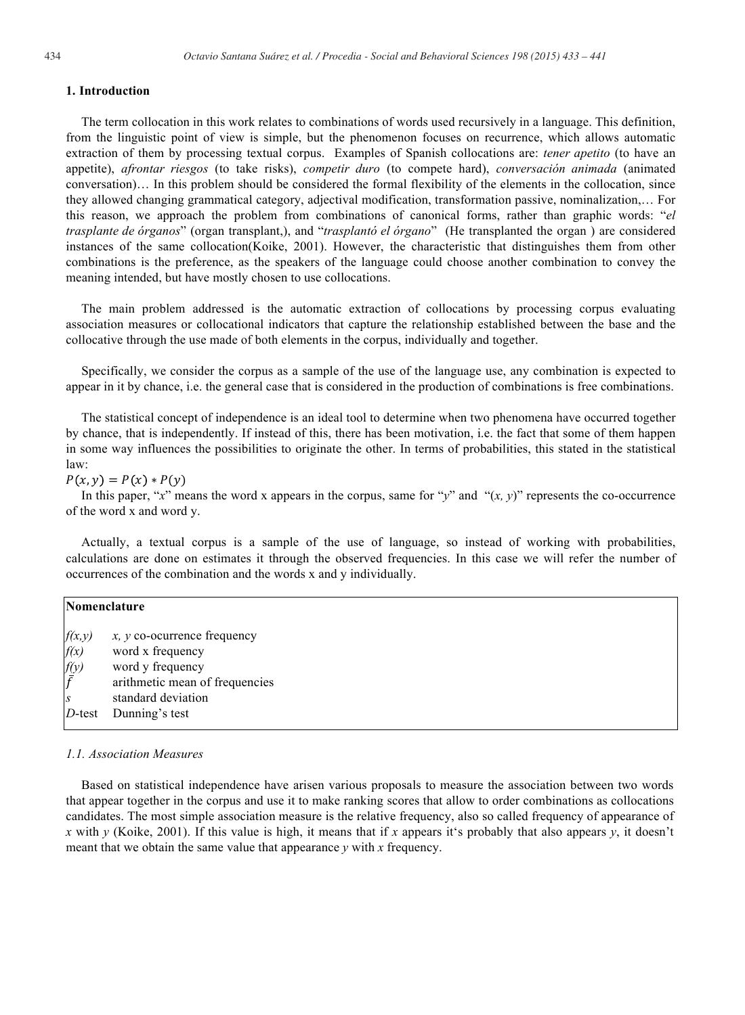#### **1. Introduction**

The term collocation in this work relates to combinations of words used recursively in a language. This definition, from the linguistic point of view is simple, but the phenomenon focuses on recurrence, which allows automatic extraction of them by processing textual corpus. Examples of Spanish collocations are: *tener apetito* (to have an appetite), *afrontar riesgos* (to take risks), *competir duro* (to compete hard), *conversación animada* (animated conversation)… In this problem should be considered the formal flexibility of the elements in the collocation, since they allowed changing grammatical category, adjectival modification, transformation passive, nominalization,… For this reason, we approach the problem from combinations of canonical forms, rather than graphic words: "*el trasplante de órganos*" (organ transplant,), and "*trasplantó el órgano*" (He transplanted the organ ) are considered instances of the same collocation(Koike, 2001). However, the characteristic that distinguishes them from other combinations is the preference, as the speakers of the language could choose another combination to convey the meaning intended, but have mostly chosen to use collocations.

The main problem addressed is the automatic extraction of collocations by processing corpus evaluating association measures or collocational indicators that capture the relationship established between the base and the collocative through the use made of both elements in the corpus, individually and together.

Specifically, we consider the corpus as a sample of the use of the language use, any combination is expected to appear in it by chance, i.e. the general case that is considered in the production of combinations is free combinations.

The statistical concept of independence is an ideal tool to determine when two phenomena have occurred together by chance, that is independently. If instead of this, there has been motivation, i.e. the fact that some of them happen in some way influences the possibilities to originate the other. In terms of probabilities, this stated in the statistical law:

 $P(x, y) = P(x) * P(y)$ 

In this paper, "*x*" means the word x appears in the corpus, same for "*y*" and " $(x, y)$ " represents the co-occurrence of the word x and word y.

Actually, a textual corpus is a sample of the use of language, so instead of working with probabilities, calculations are done on estimates it through the observed frequencies. In this case we will refer the number of occurrences of the combination and the words x and y individually.

| Nomenclature     |                                |
|------------------|--------------------------------|
| f(x,y)           | $x, y$ co-ocurrence frequency  |
| f(x)             | word x frequency               |
| $\frac{f(y)}{f}$ | word y frequency               |
|                  | arithmetic mean of frequencies |
| S                | standard deviation             |
| $D$ -test        | Dunning's test                 |
|                  |                                |

## *1.1. Association Measures*

Based on statistical independence have arisen various proposals to measure the association between two words that appear together in the corpus and use it to make ranking scores that allow to order combinations as collocations candidates. The most simple association measure is the relative frequency, also so called frequency of appearance of *x* with *y* (Koike, 2001). If this value is high, it means that if *x* appears it's probably that also appears *y*, it doesn't meant that we obtain the same value that appearance *y* with *x* frequency.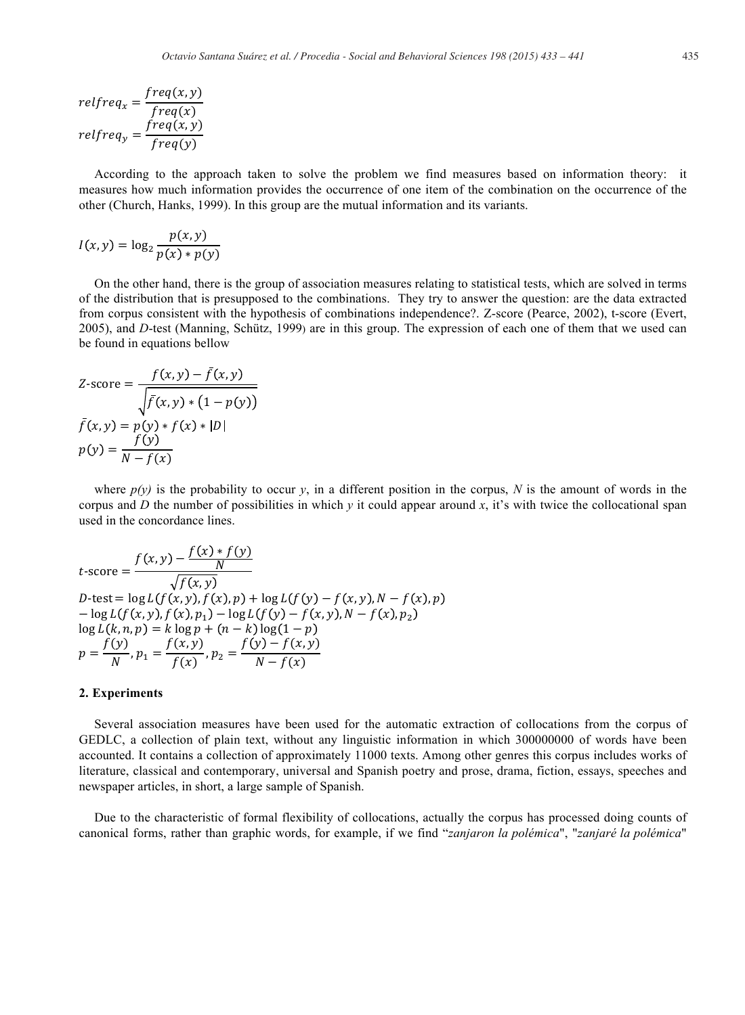$$
relfreq_x = \frac{freq(x, y)}{freq(x)}
$$
  
relfreq<sub>y</sub> = 
$$
\frac{freq(x, y)}{freq(y)}
$$

According to the approach taken to solve the problem we find measures based on information theory: it measures how much information provides the occurrence of one item of the combination on the occurrence of the other (Church, Hanks, 1999). In this group are the mutual information and its variants.

$$
I(x, y) = \log_2 \frac{p(x, y)}{p(x) * p(y)}
$$

On the other hand, there is the group of association measures relating to statistical tests, which are solved in terms of the distribution that is presupposed to the combinations. They try to answer the question: are the data extracted from corpus consistent with the hypothesis of combinations independence?. Z-score (Pearce, 2002), t-score (Evert, 2005), and *D*-test (Manning, Schütz, 1999) are in this group. The expression of each one of them that we used can be found in equations bellow

$$
Z\text{-score} = \frac{f(x, y) - \bar{f}(x, y)}{\sqrt{\bar{f}(x, y) * (1 - p(y))}}
$$

$$
\bar{f}(x, y) = p(y) * f(x) * |D|
$$

$$
p(y) = \frac{f(y)}{N - f(x)}
$$

where  $p(y)$  is the probability to occur y, in a different position in the corpus, N is the amount of words in the corpus and *D* the number of possibilities in which  $\gamma$  it could appear around x, it's with twice the collocational span used in the concordance lines.

$$
t\text{-score} = \frac{f(x, y) - \frac{f(x) * f(y)}{N}}{\sqrt{f(x, y)}}
$$
  
D-test = log L(f(x, y), f(x), p) + log L(f(y) - f(x, y), N - f(x), p)  
- log L(f(x, y), f(x), p<sub>1</sub>) - log L(f(y) - f(x, y), N - f(x), p<sub>2</sub>)  
log L(k, n, p) = k log p + (n - k) log(1 - p)  

$$
p = \frac{f(y)}{N}, p_1 = \frac{f(x, y)}{f(x)}, p_2 = \frac{f(y) - f(x, y)}{N - f(x)}
$$

#### **2. Experiments**

Several association measures have been used for the automatic extraction of collocations from the corpus of GEDLC, a collection of plain text, without any linguistic information in which 300000000 of words have been accounted. It contains a collection of approximately 11000 texts. Among other genres this corpus includes works of literature, classical and contemporary, universal and Spanish poetry and prose, drama, fiction, essays, speeches and newspaper articles, in short, a large sample of Spanish.

Due to the characteristic of formal flexibility of collocations, actually the corpus has processed doing counts of canonical forms, rather than graphic words, for example, if we find "*zanjaron la polémica*", "*zanjaré la polémica*"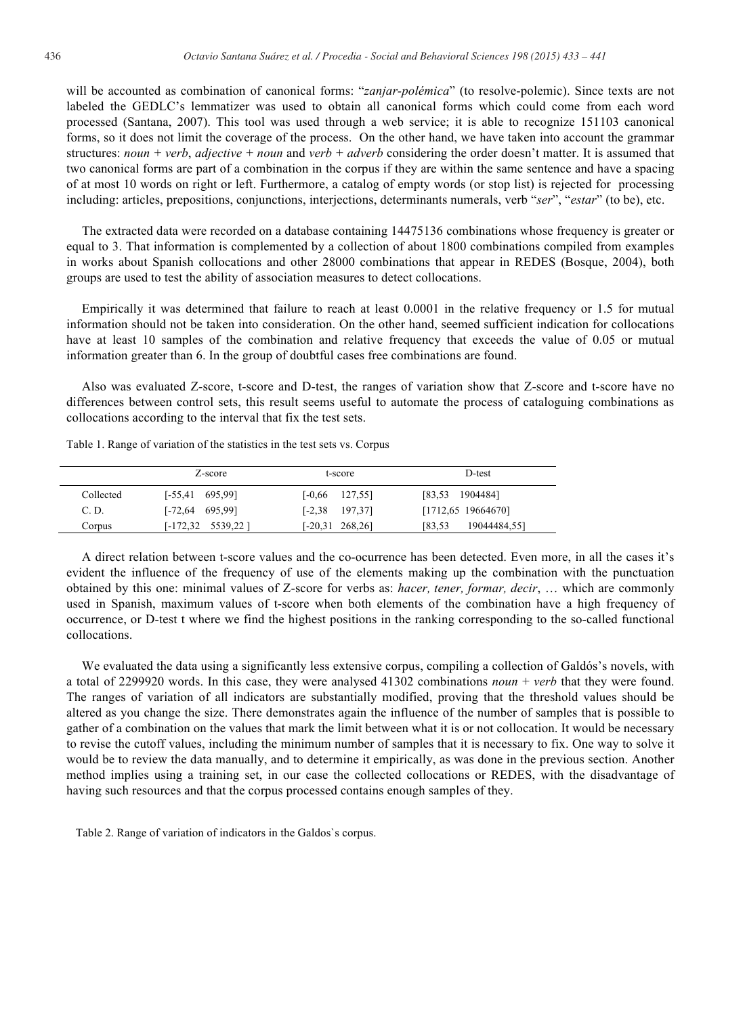will be accounted as combination of canonical forms: "*zanjar-polémica*" (to resolve-polemic). Since texts are not labeled the GEDLC's lemmatizer was used to obtain all canonical forms which could come from each word processed (Santana, 2007). This tool was used through a web service; it is able to recognize 151103 canonical forms, so it does not limit the coverage of the process. On the other hand, we have taken into account the grammar structures: *noun + verb*, *adjective + noun* and *verb + adverb* considering the order doesn't matter. It is assumed that two canonical forms are part of a combination in the corpus if they are within the same sentence and have a spacing of at most 10 words on right or left. Furthermore, a catalog of empty words (or stop list) is rejected for processing including: articles, prepositions, conjunctions, interjections, determinants numerals, verb "*ser*", "*estar*" (to be), etc.

The extracted data were recorded on a database containing 14475136 combinations whose frequency is greater or equal to 3. That information is complemented by a collection of about 1800 combinations compiled from examples in works about Spanish collocations and other 28000 combinations that appear in REDES (Bosque, 2004), both groups are used to test the ability of association measures to detect collocations.

Empirically it was determined that failure to reach at least 0.0001 in the relative frequency or 1.5 for mutual information should not be taken into consideration. On the other hand, seemed sufficient indication for collocations have at least 10 samples of the combination and relative frequency that exceeds the value of 0.05 or mutual information greater than 6. In the group of doubtful cases free combinations are found.

Also was evaluated Z-score, t-score and D-test, the ranges of variation show that Z-score and t-score have no differences between control sets, this result seems useful to automate the process of cataloguing combinations as collocations according to the interval that fix the test sets.

|           | Z-score                     | t-score                 | D-test                  |  |
|-----------|-----------------------------|-------------------------|-------------------------|--|
| Collected | $[-55, 41 \quad 695, 99]$   | 127,551<br>$[-0.66]$    | $[83,53 \quad 1904484]$ |  |
| C. D.     | $[-72, 64 \quad 695, 99]$   | 197,371<br>$[-2, 38]$   | $[1712, 65 \t19664670]$ |  |
| Corpus    | $[-172, 32 \quad 5539, 22]$ | $[-20.31 \quad 268.26]$ | 19044484,551<br>[83,53  |  |

Table 1. Range of variation of the statistics in the test sets vs. Corpus

A direct relation between t-score values and the co-ocurrence has been detected. Even more, in all the cases it's evident the influence of the frequency of use of the elements making up the combination with the punctuation obtained by this one: minimal values of Z-score for verbs as: *hacer, tener, formar, decir*, … which are commonly used in Spanish, maximum values of t-score when both elements of the combination have a high frequency of occurrence, or D-test t where we find the highest positions in the ranking corresponding to the so-called functional collocations.

We evaluated the data using a significantly less extensive corpus, compiling a collection of Galdós's novels, with a total of 2299920 words. In this case, they were analysed 41302 combinations *noun + verb* that they were found. The ranges of variation of all indicators are substantially modified, proving that the threshold values should be altered as you change the size. There demonstrates again the influence of the number of samples that is possible to gather of a combination on the values that mark the limit between what it is or not collocation. It would be necessary to revise the cutoff values, including the minimum number of samples that it is necessary to fix. One way to solve it would be to review the data manually, and to determine it empirically, as was done in the previous section. Another method implies using a training set, in our case the collected collocations or REDES, with the disadvantage of having such resources and that the corpus processed contains enough samples of they.

Table 2. Range of variation of indicators in the Galdos`s corpus.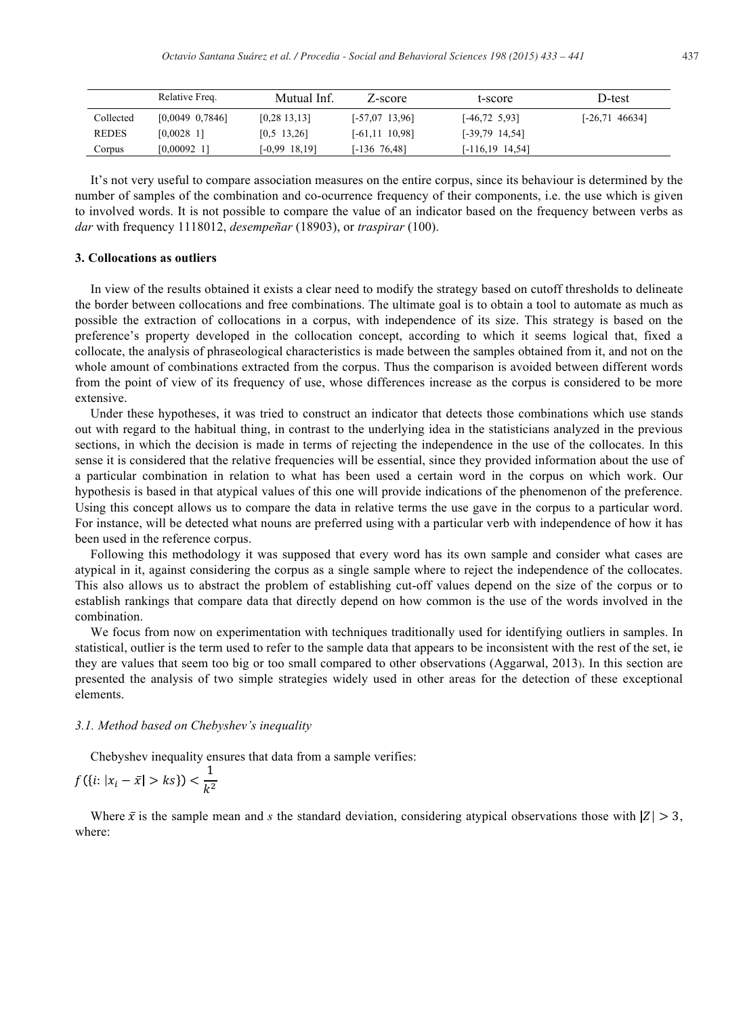|              | Relative Freq.   | Mutual Inf.       | Z-score          | t-score               | D-test             |
|--------------|------------------|-------------------|------------------|-----------------------|--------------------|
| Collected    | [0,0049, 0,7846] | [0, 28, 13, 13]   | $[-57,07,13,96]$ | $[-46, 72, 5, 93]$    | $[-26, 71, 46634]$ |
| <b>REDES</b> | $[0,0028]$ 1]    | $[0,5 \ 13,26]$   | [-61,11 10,98]   | $[-39,79, 14,54]$     |                    |
| Corpus       | $[0,00092]$ 1]   | $[-0.99 \ 18.19]$ | [-136 76,48]     | $[-116, 19 \ 14, 54]$ |                    |

It's not very useful to compare association measures on the entire corpus, since its behaviour is determined by the number of samples of the combination and co-ocurrence frequency of their components, i.e. the use which is given to involved words. It is not possible to compare the value of an indicator based on the frequency between verbs as *dar* with frequency 1118012, *desempeñar* (18903), or *traspirar* (100).

## **3. Collocations as outliers**

In view of the results obtained it exists a clear need to modify the strategy based on cutoff thresholds to delineate the border between collocations and free combinations. The ultimate goal is to obtain a tool to automate as much as possible the extraction of collocations in a corpus, with independence of its size. This strategy is based on the preference's property developed in the collocation concept, according to which it seems logical that, fixed a collocate, the analysis of phraseological characteristics is made between the samples obtained from it, and not on the whole amount of combinations extracted from the corpus. Thus the comparison is avoided between different words from the point of view of its frequency of use, whose differences increase as the corpus is considered to be more extensive.

Under these hypotheses, it was tried to construct an indicator that detects those combinations which use stands out with regard to the habitual thing, in contrast to the underlying idea in the statisticians analyzed in the previous sections, in which the decision is made in terms of rejecting the independence in the use of the collocates. In this sense it is considered that the relative frequencies will be essential, since they provided information about the use of a particular combination in relation to what has been used a certain word in the corpus on which work. Our hypothesis is based in that atypical values of this one will provide indications of the phenomenon of the preference. Using this concept allows us to compare the data in relative terms the use gave in the corpus to a particular word. For instance, will be detected what nouns are preferred using with a particular verb with independence of how it has been used in the reference corpus.

Following this methodology it was supposed that every word has its own sample and consider what cases are atypical in it, against considering the corpus as a single sample where to reject the independence of the collocates. This also allows us to abstract the problem of establishing cut-off values depend on the size of the corpus or to establish rankings that compare data that directly depend on how common is the use of the words involved in the combination.

We focus from now on experimentation with techniques traditionally used for identifying outliers in samples. In statistical, outlier is the term used to refer to the sample data that appears to be inconsistent with the rest of the set, ie they are values that seem too big or too small compared to other observations (Aggarwal, 2013). In this section are presented the analysis of two simple strategies widely used in other areas for the detection of these exceptional elements.

#### *3.1. Method based on Chebyshev's inequality*

Chebyshev inequality ensures that data from a sample verifies:

$$
f({i: |x_i - \bar{x}| > ks}) < \frac{1}{k^2}
$$

Where  $\bar{x}$  is the sample mean and *s* the standard deviation, considering atypical observations those with  $|Z| > 3$ , where: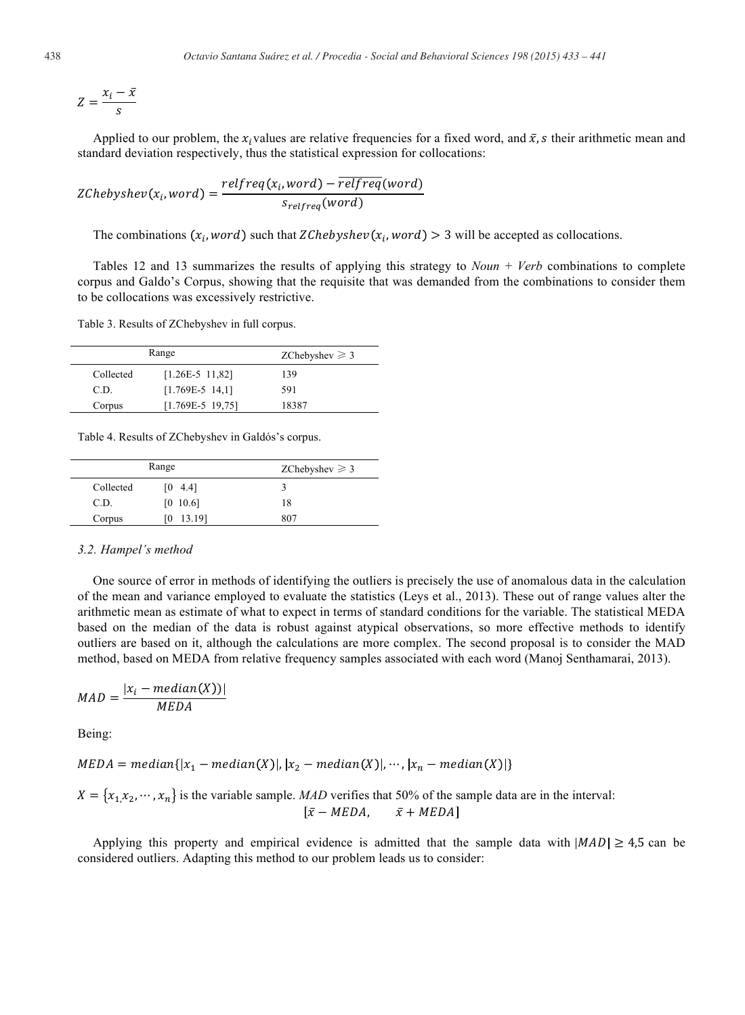$$
Z = \frac{x_i - \bar{x}}{s}
$$

Applied to our problem, the  $x_i$  values are relative frequencies for a fixed word, and  $\bar{x}$ , s their arithmetic mean and standard deviation respectively, thus the statistical expression for collocations:

$$
ZChebyshev(xi, word) = \frac{relfreq(xi, word) - relfreq(word)}{s_{relfreq}(word)}
$$

The combinations  $(x_i, word)$  such that ZChebyshev $(x_i, word) > 3$  will be accepted as collocations.

Tables 12 and 13 summarizes the results of applying this strategy to *Noun + Verb* combinations to complete corpus and Galdo's Corpus, showing that the requisite that was demanded from the combinations to consider them to be collocations was excessively restrictive.

Table 3. Results of ZChebyshev in full corpus.

|           | Range              | ZChebyshev $\geq 3$ |
|-----------|--------------------|---------------------|
| Collected | $[1.26E-5 11.82]$  | 139                 |
| C.D.      | $[1.769E-5 14,1]$  | 591                 |
| Corpus    | $[1.769E-5 19.75]$ | 18387               |

Table 4. Results of ZChebyshev in Galdós's corpus.

|           | Range    | ZChebyshev $\geq 3$ |
|-----------|----------|---------------------|
| Collected | [0, 4.4] |                     |
| C.D.      | [0 10.6] | 18                  |
| Corpus    | 13.19]   | 807                 |

#### *3.2. Hampel's method*

One source of error in methods of identifying the outliers is precisely the use of anomalous data in the calculation of the mean and variance employed to evaluate the statistics (Leys et al., 2013). These out of range values alter the arithmetic mean as estimate of what to expect in terms of standard conditions for the variable. The statistical MEDA based on the median of the data is robust against atypical observations, so more effective methods to identify outliers are based on it, although the calculations are more complex. The second proposal is to consider the MAD method, based on MEDA from relative frequency samples associated with each word (Manoj Senthamarai, 2013).

$$
MAD = \frac{|x_i - \text{median}(X))|}{\text{MEDA}}
$$

Being:

$$
MEDA = median\{|x_1 - median(X)|, |x_2 - median(X)|, \cdots, |x_n - median(X)|\}
$$

$$
X = \{x_1, x_2, \cdots, x_n\}
$$
 is the variable sample. *MAD* verifies that 50% of the sample data are in the interval: 
$$
[\bar{x} - MEDA, \quad \bar{x} + MEDA]
$$

Applying this property and empirical evidence is admitted that the sample data with  $|MAD| \geq 4.5$  can be considered outliers. Adapting this method to our problem leads us to consider: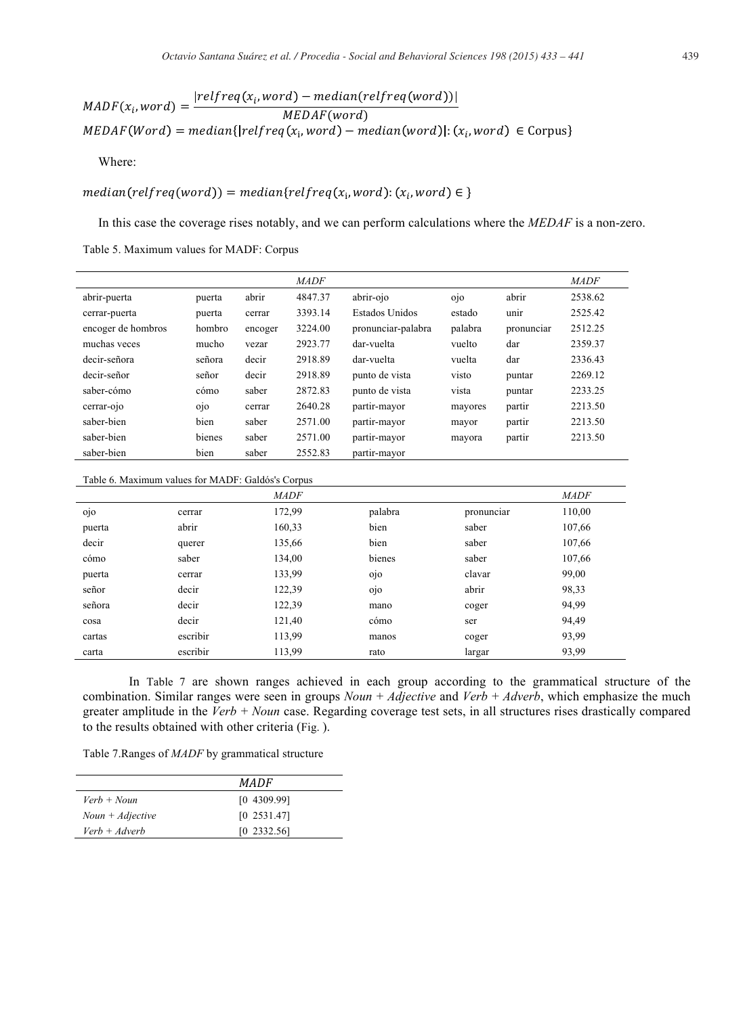$$
MADF(x_i, word) = \frac{|relfreq(x_i, word) - median(relfreq(word))|}{MEDAF(word)}
$$
  
 
$$
MEDAF(Word) = median\{|relfreq(x_i, word) - median(word)|: (x_i, word) \in Corpus\}
$$

Where:

median(relfreq(word)) = median{relfreq(x<sub>i</sub>,word): (x<sub>i</sub>,word)  $\in$ 

In this case the coverage rises notably, and we can perform calculations where the *MEDAF* is a non-zero. Table 5. Maximum values for MADF: Corpus

|                    |                |         | <b>MADF</b> |                    |         |            | <b>MADF</b> |
|--------------------|----------------|---------|-------------|--------------------|---------|------------|-------------|
| abrir-puerta       | puerta         | abrir   | 4847.37     | abrir-ojo          | 0 0     | abrir      | 2538.62     |
| cerrar-puerta      | puerta         | cerrar  | 3393.14     | Estados Unidos     | estado  | unir       | 2525.42     |
| encoger de hombros | hombro         | encoger | 3224.00     | pronunciar-palabra | palabra | pronunciar | 2512.25     |
| muchas veces       | mucho          | vezar   | 2923.77     | dar-vuelta         | vuelto  | dar        | 2359.37     |
| decir-señora       | señora         | decir   | 2918.89     | dar-vuelta         | vuelta  | dar        | 2336.43     |
| decir-señor        | señor          | decir   | 2918.89     | punto de vista     | visto   | puntar     | 2269.12     |
| saber-cómo         | cómo           | saber   | 2872.83     | punto de vista     | vista   | puntar     | 2233.25     |
| cerrar-ojo         | 0 <sup>i</sup> | cerrar  | 2640.28     | partir-mayor       | mayores | partir     | 2213.50     |
| saber-bien         | bien           | saber   | 2571.00     | partir-mayor       | mayor   | partir     | 2213.50     |
| saber-bien         | bienes         | saber   | 2571.00     | partir-mayor       | mayora  | partir     | 2213.50     |
| saber-bien         | bien           | saber   | 2552.83     | partir-mayor       |         |            |             |

Table 6. Maximum values for MADF: Galdós's Corpus

|        |          | <b>MADF</b> |         |            | <b>MADF</b> |
|--------|----------|-------------|---------|------------|-------------|
| 0 0    | cerrar   | 172,99      | palabra | pronunciar | 110,00      |
| puerta | abrir    | 160,33      | bien    | saber      | 107,66      |
| decir  | querer   | 135,66      | bien    | saber      | 107,66      |
| cómo   | saber    | 134,00      | bienes  | saber      | 107,66      |
| puerta | cerrar   | 133,99      | ojo     | clavar     | 99,00       |
| señor  | decir    | 122,39      | 0j      | abrir      | 98,33       |
| señora | decir    | 122,39      | mano    | coger      | 94,99       |
| cosa   | decir    | 121,40      | cómo    | ser        | 94,49       |
| cartas | escribir | 113,99      | manos   | coger      | 93,99       |
| carta  | escribir | 113,99      | rato    | largar     | 93,99       |

In Table 7 are shown ranges achieved in each group according to the grammatical structure of the combination. Similar ranges were seen in groups *Noun + Adjective* and *Verb + Adverb*, which emphasize the much greater amplitude in the *Verb + Noun* case. Regarding coverage test sets, in all structures rises drastically compared to the results obtained with other criteria (Fig. ).

Table 7.Ranges of *MADF* by grammatical structure

|                    | <i>MADF</i>  |
|--------------------|--------------|
| $Verb + Noun$      | [0, 4309.99] |
| $Noun + Adjective$ | [0 2531.47]  |
| $Verb + Adverb$    | [0 2332.56]  |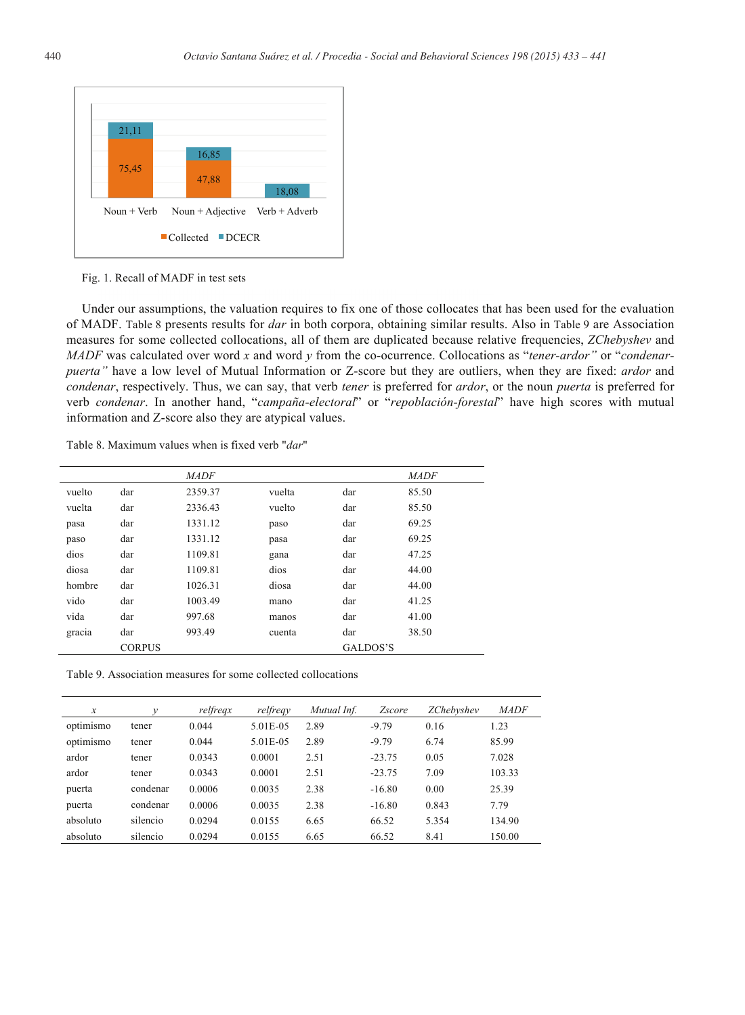

Fig. 1. Recall of MADF in test sets

Under our assumptions, the valuation requires to fix one of those collocates that has been used for the evaluation of MADF. Table 8 presents results for *dar* in both corpora, obtaining similar results. Also in Table 9 are Association measures for some collected collocations, all of them are duplicated because relative frequencies, *ZChebyshev* and *MADF* was calculated over word *x* and word *y* from the co-ocurrence. Collocations as "*tener-ardor"* or "*condenarpuerta"* have a low level of Mutual Information or Z-score but they are outliers, when they are fixed: *ardor* and *condenar*, respectively. Thus, we can say, that verb *tener* is preferred for *ardor*, or the noun *puerta* is preferred for verb *condenar*. In another hand, "*campaña-electoral*" or "*repoblación-forestal*" have high scores with mutual information and Z-score also they are atypical values.

Table 8. Maximum values when is fixed verb "*dar*"

|        |               | <b>MADF</b> |        |          | <b>MADF</b> |
|--------|---------------|-------------|--------|----------|-------------|
| vuelto | dar           | 2359.37     | vuelta | dar      | 85.50       |
| vuelta | dar           | 2336.43     | vuelto | dar      | 85.50       |
| pasa   | dar           | 1331.12     | paso   | dar      | 69.25       |
| paso   | dar           | 1331.12     | pasa   | dar      | 69.25       |
| dios   | dar           | 1109.81     | gana   | dar      | 47.25       |
| diosa  | dar           | 1109.81     | dios   | dar      | 44.00       |
| hombre | dar           | 1026.31     | diosa  | dar      | 44.00       |
| vido   | dar           | 1003.49     | mano   | dar      | 41.25       |
| vida   | dar           | 997.68      | manos  | dar      | 41.00       |
| gracia | dar           | 993.49      | cuenta | dar      | 38.50       |
|        | <b>CORPUS</b> |             |        | GALDOS'S |             |

Table 9. Association measures for some collected collocations

| x         | ν        | relfreqx | relfreqy | Mutual Inf. | <i>Zscore</i> | <b>ZChebyshev</b> | <b>MADF</b> |
|-----------|----------|----------|----------|-------------|---------------|-------------------|-------------|
| optimismo | tener    | 0.044    | 5.01E-05 | 2.89        | $-9.79$       | 0.16              | 1.23        |
| optimismo | tener    | 0.044    | 5.01E-05 | 2.89        | $-9.79$       | 6.74              | 85.99       |
| ardor     | tener    | 0.0343   | 0.0001   | 2.51        | $-23.75$      | 0.05              | 7.028       |
| ardor     | tener    | 0.0343   | 0.0001   | 2.51        | $-23.75$      | 7.09              | 103.33      |
| puerta    | condenar | 0.0006   | 0.0035   | 2.38        | $-16.80$      | 0.00              | 25.39       |
| puerta    | condenar | 0.0006   | 0.0035   | 2.38        | $-16.80$      | 0.843             | 7.79        |
| absoluto  | silencio | 0.0294   | 0.0155   | 6.65        | 66.52         | 5.354             | 134.90      |
| absoluto  | silencio | 0.0294   | 0.0155   | 6.65        | 66.52         | 8.41              | 150.00      |